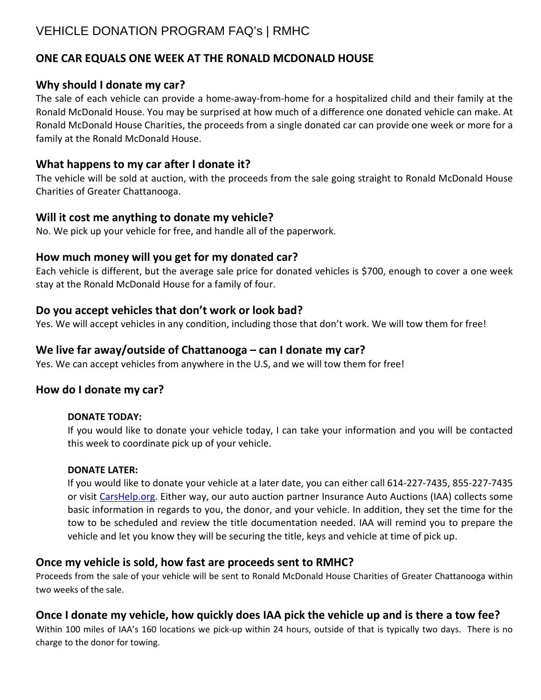# VEHICLE DONATION PROGRAM FAQ's | RMHC

# **ONE CAR EQUALS ONE WEEK AT THE RONALD MCDONALD HOUSE**

#### **Why should I donate my car?**

The sale of each vehicle can provide a home-away-from-home for a hospitalized child and their family at the Ronald McDonald House. You may be surprised at how much of a difference one donated vehicle can make. At Ronald McDonald House Charities, the proceeds from a single donated car can provide one week or more for a family at the Ronald McDonald House.

#### **What happens to my car after I donate it?**

The vehicle will be sold at auction, with the proceeds from the sale going straight to Ronald McDonald House Charities of Greater Chattanooga.

#### **Will it cost me anything to donate my vehicle?**

No. We pick up your vehicle for free, and handle all of the paperwork.

#### **How much money will you get for my donated car?**

Each vehicle is different, but the average sale price for donated vehicles is \$700, enough to cover a one week stay at the Ronald McDonald House for a family of four.

#### **Do you accept vehicles that don't work or look bad?**

Yes. We will accept vehicles in any condition, including those that don't work. We will tow them for free!

#### **We live far away/outside of Chattanooga – can I donate my car?**

Yes. We can accept vehicles from anywhere in the U.S, and we will tow them for free!

#### **How do I donate my car?**

#### **DONATE TODAY:**

If you would like to donate your vehicle today, I can take your information and you will be contacted this week to coordinate pick up of your vehicle.

#### **DONATE LATER:**

If you would like to donate your vehicle at a later date, you can either call 614-227-7435, 855-227-7435 or visit [CarsHelp.org.](http://www.carshelp.org/) Either way, our auto auction partner Insurance Auto Auctions (IAA) collects some basic information in regards to you, the donor, and your vehicle. In addition, they set the time for the tow to be scheduled and review the title documentation needed. IAA will remind you to prepare the vehicle and let you know they will be securing the title, keys and vehicle at time of pick up.

## **Once my vehicle is sold, how fast are proceeds sent to RMHC?**

Proceeds from the sale of your vehicle will be sent to Ronald McDonald House Charities of Greater Chattanooga within two weeks of the sale.

## **Once I donate my vehicle, how quickly does IAA pick the vehicle up and is there a tow fee?**

Within 100 miles of IAA's 160 locations we pick-up within 24 hours, outside of that is typically two days. There is no charge to the donor for towing.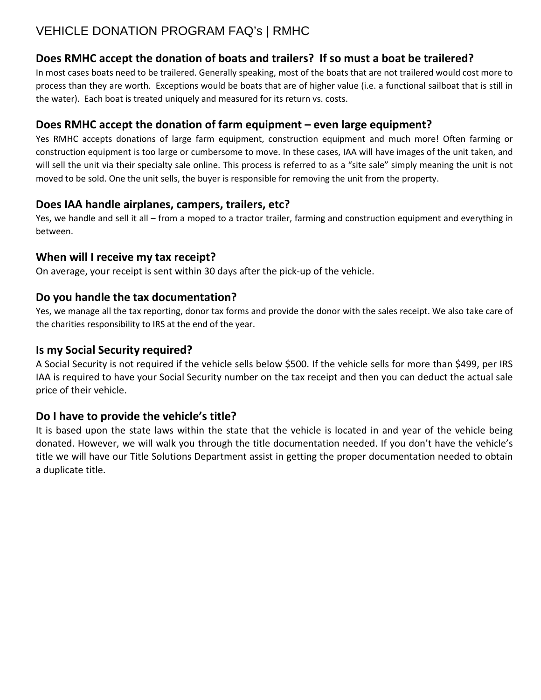# VEHICLE DONATION PROGRAM FAQ's | RMHC

# **Does RMHC accept the donation of boats and trailers? If so must a boat be trailered?**

In most cases boats need to be trailered. Generally speaking, most of the boats that are not trailered would cost more to process than they are worth. Exceptions would be boats that are of higher value (i.e. a functional sailboat that is still in the water). Each boat is treated uniquely and measured for its return vs. costs.

# **Does RMHC accept the donation of farm equipment – even large equipment?**

Yes RMHC accepts donations of large farm equipment, construction equipment and much more! Often farming or construction equipment is too large or cumbersome to move. In these cases, IAA will have images of the unit taken, and will sell the unit via their specialty sale online. This process is referred to as a "site sale" simply meaning the unit is not moved to be sold. One the unit sells, the buyer is responsible for removing the unit from the property.

## **Does IAA handle airplanes, campers, trailers, etc?**

Yes, we handle and sell it all – from a moped to a tractor trailer, farming and construction equipment and everything in between.

# **When will I receive my tax receipt?**

On average, your receipt is sent within 30 days after the pick-up of the vehicle.

## **Do you handle the tax documentation?**

Yes, we manage all the tax reporting, donor tax forms and provide the donor with the sales receipt. We also take care of the charities responsibility to IRS at the end of the year.

## **Is my Social Security required?**

A Social Security is not required if the vehicle sells below \$500. If the vehicle sells for more than \$499, per IRS IAA is required to have your Social Security number on the tax receipt and then you can deduct the actual sale price of their vehicle.

## **Do I have to provide the vehicle's title?**

It is based upon the state laws within the state that the vehicle is located in and year of the vehicle being donated. However, we will walk you through the title documentation needed. If you don't have the vehicle's title we will have our Title Solutions Department assist in getting the proper documentation needed to obtain a duplicate title.